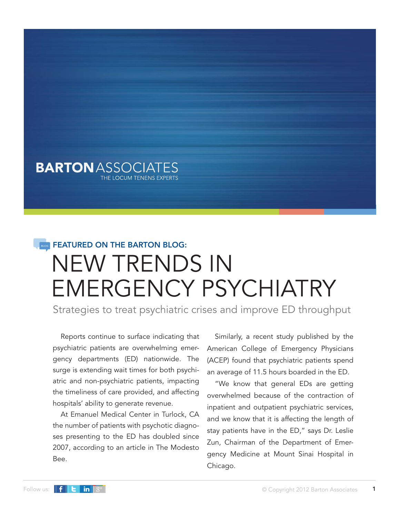### **BARTON** ASSOCIATES THE LOCUM TENENS EXPERTS

# NEW TRENDS IN EMERGENCY PSYCHIATRY **FEATURED ON THE BARTON BLOG:**

Strategies to treat psychiatric crises and improve ED throughput

Reports continue to surface indicating that psychiatric patients are overwhelming emergency departments (ED) nationwide. The surge is extending wait times for both psychiatric and non-psychiatric patients, impacting the timeliness of care provided, and affecting hospitals' ability to generate revenue.

At Emanuel Medical Center in Turlock, CA the number of patients with psychotic diagnoses presenting to the ED has doubled since 2007, according to an article in The Modesto Bee.

Similarly, a recent study published by the American College of Emergency Physicians (ACEP) found that psychiatric patients spend an average of 11.5 hours boarded in the ED.

"We know that general EDs are getting overwhelmed because of the contraction of inpatient and outpatient psychiatric services, and we know that it is affecting the length of stay patients have in the ED," says Dr. Leslie Zun, Chairman of the Department of Emergency Medicine at Mount Sinai Hospital in Chicago.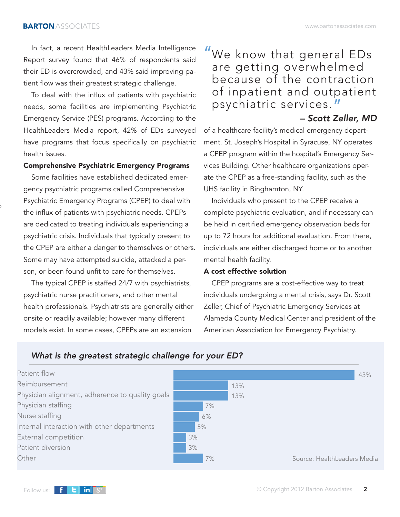In fact, a recent HealthLeaders Media Intelligence Report survey found that 46% of respondents said their ED is overcrowded, and 43% said improving patient flow was their greatest strategic challenge.

To deal with the influx of patients with psychiatric needs, some facilities are implementing Psychiatric Emergency Service (PES) programs. According to the HealthLeaders Media report, 42% of EDs surveyed have programs that focus specifically on psychiatric health issues.

### **Comprehensive Psychiatric Emergency Programs**

Some facilities have established dedicated emergency psychiatric programs called Comprehensive Psychiatric Emergency Programs (CPEP) to deal with the influx of patients with psychiatric needs. CPEPs are dedicated to treating individuals experiencing a psychiatric crisis. Individuals that typically present to the CPEP are either a danger to themselves or others. Some may have attempted suicide, attacked a person, or been found unfit to care for themselves.

The typical CPEP is staffed 24/7 with psychiatrists, psychiatric nurse practitioners, and other mental health professionals. Psychiatrists are generally either onsite or readily available; however many different models exist. In some cases, CPEPs are an extension

## We know that general EDs are getting overwhelmed because of the contraction of inpatient and outpatient psychiatric services. "  $\mathbf{u}$

*– Scott Zeller, MD* of a healthcare facility's medical emergency department. St. Joseph's Hospital in Syracuse, NY operates a CPEP program within the hospital's Emergency Services Building. Other healthcare organizations operate the CPEP as a free-standing facility, such as the UHS facility in Binghamton, NY.

Individuals who present to the CPEP receive a complete psychiatric evaluation, and if necessary can be held in certified emergency observation beds for up to 72 hours for additional evaluation. From there, individuals are either discharged home or to another mental health facility.

### **A cost effective solution**

CPEP programs are a cost-effective way to treat individuals undergoing a mental crisis, says Dr. Scott Zeller, Chief of Psychiatric Emergency Services at Alameda County Medical Center and president of the American Association for Emergency Psychiatry.



%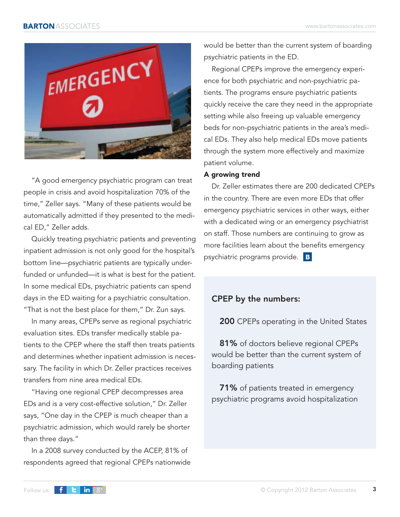

"A good emergency psychiatric program can treat people in crisis and avoid hospitalization 70% of the time," Zeller says. "Many of these patients would be automatically admitted if they presented to the medical ED," Zeller adds.

Quickly treating psychiatric patients and preventing inpatient admission is not only good for the hospital's bottom line—psychiatric patients are typically underfunded or unfunded—it is what is best for the patient. In some medical EDs, psychiatric patients can spend days in the ED waiting for a psychiatric consultation. "That is not the best place for them," Dr. Zun says.

In many areas, CPEPs serve as regional psychiatric evaluation sites. EDs transfer medically stable patients to the CPEP where the staff then treats patients and determines whether inpatient admission is necessary. The facility in which Dr. Zeller practices receives transfers from nine area medical EDs.

"Having one regional CPEP decompresses area EDs and is a very cost-effective solution," Dr. Zeller says, "One day in the CPEP is much cheaper than a psychiatric admission, which would rarely be shorter than three days."

In a 2008 survey conducted by the ACEP, 81% of respondents agreed that regional CPEPs nationwide would be better than the current system of boarding psychiatric patients in the ED.

Regional CPEPs improve the emergency experience for both psychiatric and non-psychiatric patients. The programs ensure psychiatric patients quickly receive the care they need in the appropriate setting while also freeing up valuable emergency beds for non-psychiatric patients in the area's medical EDs. They also help medical EDs move patients through the system more effectively and maximize patient volume.

### **A growing trend**

Dr. Zeller estimates there are 200 dedicated CPEPs in the country. There are even more EDs that offer emergency psychiatric services in other ways, either with a dedicated wing or an emergency psychiatrist on staff. Those numbers are continuing to grow as more facilities learn about the benefits emergency psychiatric programs provide. **B** 

### **CPEP by the numbers:**

**200** CPEPs operating in the United States

**81%** of doctors believe regional CPEPs would be better than the current system of boarding patients

**71%** of patients treated in emergency psychiatric programs avoid hospitalization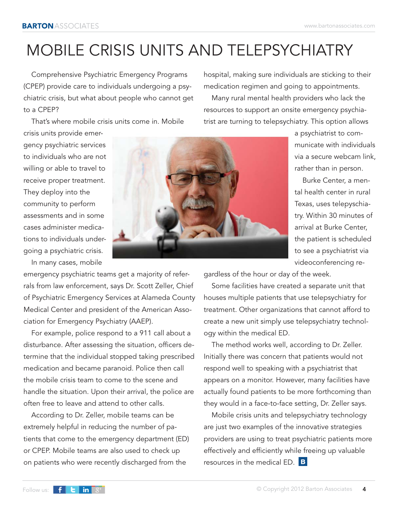# MOBILE CRISIS UNITS AND TELEPSYCHIATRY

Comprehensive Psychiatric Emergency Programs (CPEP) provide care to individuals undergoing a psychiatric crisis, but what about people who cannot get to a CPEP?

That's where mobile crisis units come in. Mobile crisis units provide emer-

gency psychiatric services to individuals who are not willing or able to travel to receive proper treatment. They deploy into the community to perform assessments and in some cases administer medications to individuals undergoing a psychiatric crisis.

In many cases, mobile

emergency psychiatric teams get a majority of referrals from law enforcement, says Dr. Scott Zeller, Chief of Psychiatric Emergency Services at Alameda County Medical Center and president of the American Association for Emergency Psychiatry (AAEP).

For example, police respond to a 911 call about a disturbance. After assessing the situation, officers determine that the individual stopped taking prescribed medication and became paranoid. Police then call the mobile crisis team to come to the scene and handle the situation. Upon their arrival, the police are often free to leave and attend to other calls.

According to Dr. Zeller, mobile teams can be extremely helpful in reducing the number of patients that come to the emergency department (ED) or CPEP. Mobile teams are also used to check up on patients who were recently discharged from the

hospital, making sure individuals are sticking to their medication regimen and going to appointments.

Many rural mental health providers who lack the resources to support an onsite emergency psychiatrist are turning to telepsychiatry. This option allows

a psychiatrist to communicate with individuals via a secure webcam link, rather than in person.

Burke Center, a mental health center in rural Texas, uses telepyschiatry. Within 30 minutes of arrival at Burke Center, the patient is scheduled to see a psychiatrist via videoconferencing re-

gardless of the hour or day of the week.

Some facilities have created a separate unit that houses multiple patients that use telepsychiatry for treatment. Other organizations that cannot afford to create a new unit simply use telepsychiatry technology within the medical ED.

The method works well, according to Dr. Zeller. Initially there was concern that patients would not respond well to speaking with a psychiatrist that appears on a monitor. However, many facilities have actually found patients to be more forthcoming than they would in a face-to-face setting, Dr. Zeller says.

Mobile crisis units and telepsychiatry technology are just two examples of the innovative strategies providers are using to treat psychiatric patients more effectively and efficiently while freeing up valuable resources in the medical ED. **B** 

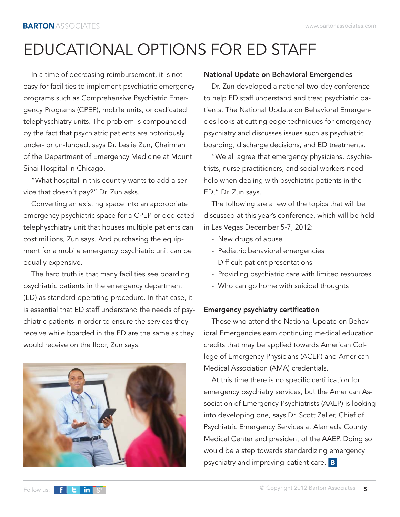# EDUCATIONAL OPTIONS FOR ED STAFF

In a time of decreasing reimbursement, it is not easy for facilities to implement psychiatric emergency programs such as Comprehensive Psychiatric Emergency Programs (CPEP), mobile units, or dedicated telephyschiatry units. The problem is compounded by the fact that psychiatric patients are notoriously under- or un-funded, says Dr. Leslie Zun, Chairman of the Department of Emergency Medicine at Mount Sinai Hospital in Chicago.

"What hospital in this country wants to add a service that doesn't pay?" Dr. Zun asks.

Converting an existing space into an appropriate emergency psychiatric space for a CPEP or dedicated telephyschiatry unit that houses multiple patients can cost millions, Zun says. And purchasing the equipment for a mobile emergency psychiatric unit can be equally expensive.

The hard truth is that many facilities see boarding psychiatric patients in the emergency department (ED) as standard operating procedure. In that case, it is essential that ED staff understand the needs of psychiatric patients in order to ensure the services they receive while boarded in the ED are the same as they would receive on the floor, Zun says.

### **National Update on Behavioral Emergencies**

Dr. Zun developed a national two-day conference to help ED staff understand and treat psychiatric patients. The National Update on Behavioral Emergencies looks at cutting edge techniques for emergency psychiatry and discusses issues such as psychiatric boarding, discharge decisions, and ED treatments.

"We all agree that emergency physicians, psychiatrists, nurse practitioners, and social workers need help when dealing with psychiatric patients in the ED," Dr. Zun says.

The following are a few of the topics that will be discussed at this year's conference, which will be held in Las Vegas December 5-7, 2012:

- New drugs of abuse
- Pediatric behavioral emergencies
- Difficult patient presentations
- Providing psychiatric care with limited resources
- Who can go home with suicidal thoughts

### **Emergency psychiatry certification**

Those who attend the National Update on Behavioral Emergencies earn continuing medical education credits that may be applied towards American College of Emergency Physicians (ACEP) and American Medical Association (AMA) credentials.

At this time there is no specific certification for emergency psychiatry services, but the American Association of Emergency Psychiatrists (AAEP) is looking into developing one, says Dr. Scott Zeller, Chief of Psychiatric Emergency Services at Alameda County Medical Center and president of the AAEP. Doing so would be a step towards standardizing emergency psychiatry and improving patient care. **B**